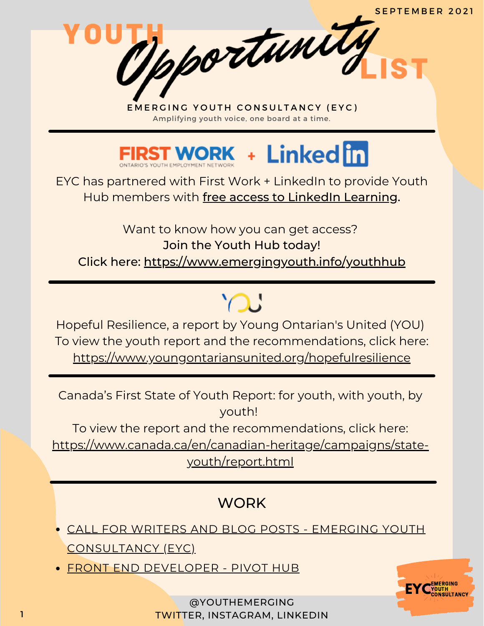

EYC has partnered with First Work + LinkedIn to provide Youth Hub members with free access to LinkedIn Learning.

Want to know how you can get access? Join the Youth Hub today! Click here: <https://www.emergingyouth.info/youthhub>

Hopeful Resilience, a report by Young Ontarian's United (YOU) To view the youth report and the recommendations, click here: <https://www.youngontariansunited.org/hopefulresilience>

 $\bigcap$ 

Canada's First State of Youth Report: for youth, with youth, by youth!

To view the report and the recommendations, click here:

[https://www.canada.ca/en/canadian-heritage/campaigns/state](https://www.canada.ca/en/canadian-heritage/campaigns/state-youth/report.html)youth/report.html

# **WORK**

- CALL FOR WRITERS AND BLOG POSTS EMERGING YOUTH [CONSULTANCY](https://www.emergingyouth.info/youthhub) (EYC)
- FRONT END [DEVELOPER](https://docs.google.com/forms/d/1RSIgOqKjZAU6ykdzRakXy3dENckQJ-bUCbEQqQCgR50/viewform?edit_requested=true) PIVOT HUB



@YOUTHEMERGING TWITTER, INSTAGRAM, LINKEDIN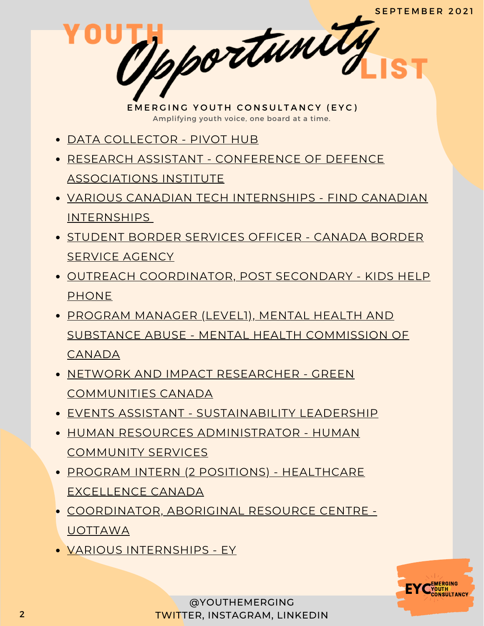- DATA [COLLECTOR](https://docs.google.com/forms/d/e/1FAIpQLSeWmep21yY1R_2zcJLxO4EG-TM2DJYFkF1mo-NL8dD7h3sc3A/viewform) PIVOT HUB
- RESEARCH ASSISTANT CONFERENCE OF DEFENCE [ASSOCIATIONS](https://www.linkedin.com/posts/cdainstitute_were-going-to-hire-two-part-time-research-activity-6838546166255247360-XkYk/) INSTITUTE
- VARIOUS CANADIAN TECH [INTERNSHIPS](https://www.findcanadianinternships.ca/) FIND CANADIAN INTERNSHIPS
- STUDENT BORDER [SERVICES](https://www.cbsa-asfc.gc.ca/job-emploi/student-etudiant/sbso-aesf-eng.html) OFFICER CANADA BORDER SERVICE AGENCY
- OUTREACH [COORDINATOR,](https://workforcenow.adp.com/mascsr/default/mdf/recruitment/recruitment.html?cid=47b3570c-71ad-4487-bc6c-890b4531acac&lang=en_CA) POST SECONDARY KIDS HELP PHONE
- PROGRAM MANAGER (LEVEL1), MENTAL HEALTH AND SUBSTANCE ABUSE - MENTAL HEALTH [COMMISSION](https://boards.greenhouse.io/mentalhealthcommissionofcanadaenglish/jobs/5505655002?gh_jid=5505655002) OF **CANADA**
- NETWORK AND IMPACT RESEARCHER GREEN [COMMUNITIES](https://www.goodwork.ca/jobs/energy-resilient-and-sustainable-communities-jobs-network-research-and-fund-development-jobs-61155) CANADA
- **EVENTS ASSISTANT [SUSTAINABILITY](https://www.goodwork.ca/jobs/event-planning-and-coordination-jobs-for-sustainable-business-events-61165) LEADERSHIP**
- HUMAN RESOURCES [ADMINISTRATOR](https://www.humanacs.org/career/human-resources-administrator) HUMAN COMMUNITY SERVICES
- PROGRAM INTERN (2 POSITIONS) [HEALTHCARE](https://www.healthcareexcellence.ca/en/about/about-us/careers/program-intern/) EXCELLENCE CANADA
- [COORDINATOR,](https://www.linkedin.com/jobs/view/2693128076/) ABORIGINAL RESOURCE CENTRE UOTTAWA
- VARIOUS [INTERNSHIPS](https://eyglobal.yello.co/job_boards/c1riT--B2O-KySgYWsZO1Q?locale=en) EY

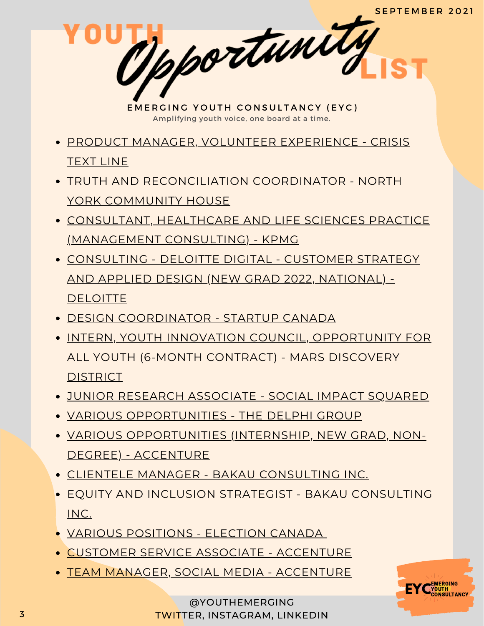- PRODUCT MANAGER, VOLUNTEER [EXPERIENCE](https://boards.greenhouse.io/crisistextline86/jobs/4587644003?gh_src=e979ce883us) CRISIS TEXT LINE
- TRUTH AND [RECONCILIATION](https://nych.bamboohr.com/jobs/view.php?id=66) COORDINATOR NORTH YORK COMMUNITY HOUSE
- CONSULTANT, HEALTHCARE AND LIFE SCIENCES PRACTICE [\(MANAGEMENT](https://careers.kpmg.ca/jobs/10400?lang=en-us&iis=Job+Board&iisn=LinkedIn&Codes=LinkedIn) CONSULTING) - KPMG
- [CONSULTING](https://careers.deloitte.ca/job/Toronto-Consulting-Deloitte-Digital-Customer-Strategy-and-Applied-Design-New-Grad-2022%2C-Multiple-ON-M5C-3G7/775908100/?utm_source=LINKEDIN&utm_medium=referrer&?src=JB-12762) DELOITTE DIGITAL CUSTOMER STRATEGY AND APPLIED DESIGN (NEW GRAD 2022, NATIONAL) - **DELOITTE**
- DESIGN [COORDINATOR](https://startupcanada.notion.site/Design-Coordinator-b40e9b8f360c49de940d097009f61ab8) STARTUP CANADA
- **INTERN, YOUTH INNOVATION COUNCIL, [OPPORTUNITY](https://boards.greenhouse.io/marsdiscoverydistrict/jobs/5393504002) FOR** ALL YOUTH (6-MONTH CONTRACT) - MARS DISCOVERY **DISTRICT**
- JUNIOR RESEARCH [ASSOCIATE](https://www.linkedin.com/posts/paulbakkersis_juniorresearch-associate-position-activity-6834187655031476224-y5hE/) SOCIAL IMPACT SQUARED
- VARIOUS [OPPORTUNITIES](https://delphi.zohorecruit.com/careers) THE DELPHI GROUP
- VARIOUS [OPPORTUNITIES](https://acn.avature.net/en_US/talentPortal) (INTERNSHIP, NEW GRAD, NON-DEGREE) - ACCENTURE
- CLIENTELE MANAGER BAKAU [CONSULTING](https://www.bakauconsulting.com/careers/operations-b44y9) INC.
- EQUITY AND INCLUSION STRATEGIST BAKAU [CONSULTING](https://www.bakauconsulting.com/careers/equity-and-inclusion-strategist) INC.
- VARIOUS [POSITIONS](https://www.elections.ca/content.aspx?section=emp&lang=e&document=index) ELECTION CANADA
- CUSTOMER SERVICE ASSOCIATE [ACCENTURE](https://www.accenture.com/ca-en/careers/jobdetails?id=R00035809_en&title=Customer+Service+Associate+-+Permanent)
- TEAM MANAGER, SOCIAL MEDIA [ACCENTURE](https://www.accenture.com/ca-en/careers/jobdetails?id=R00023661_en&title=Team+Manager+-+Social+Media)

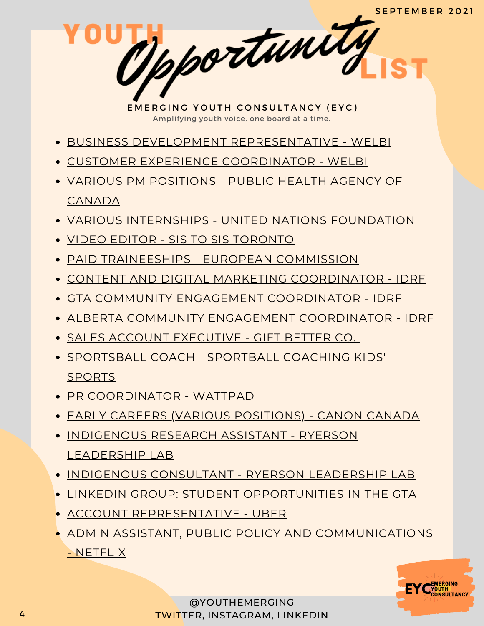- BUSINESS DEVELOPMENT [REPRESENTATIVE](https://www.welbi.co/careers/business-development-representative-2) WELBI
- CUSTOMER EXPERIENCE [COORDINATOR](https://www.welbi.co/careers/customer-experience-coordinator) WELBI
- VARIOUS PM [POSITIONS](https://emploisfp-psjobs.cfp-psc.gc.ca/psrs-srfp/applicant/page1800?toggleLanguage=en&poster=1601436) PUBLIC HEALTH AGENCY OF CANADA
- VARIOUS INTERNSHIPS UNITED NATIONS [FOUNDATION](https://unfoundation.org/careers/internship-opportunities/)
- VIDEO EDITOR SIS TO SIS [TORONTO](https://docs.google.com/forms/d/e/1FAIpQLSero7irTCxSD1cz3kDKcweIh3-HgLJKu6nJd7F4SYag_JiyHw/viewform)
- PAID [TRAINEESHIPS](https://traineeships.ec.europa.eu/?utm_campaign=58be742173a6a31b06082356&utm_content=6107cc4d5a8af900018c3dac&utm_medium=smarpshare&utm_source=linkedin) EUROPEAN COMMISSION
- CONTENT AND DIGITAL MARKETING [COORDINATOR](https://charityvillage.com/jobs/content-and-digital-marketing-coordinator-in-toronto-toronto-division-ontario-ca/) IDRF
- GTA COMMUNITY ENGAGEMENT [COORDINATOR](https://charityvillage.com/jobs/community-engagement-coordinator-in-toronto-ontario-ca/) IDRF
- ALBERTA COMMUNITY ENGAGEMENT [COORDINATOR](https://charityvillage.com/jobs/alberta-community-engagement-coordinator-in-calgary-division-no-6-alberta-ca/) IDRF
- SALES ACCOUNT [EXECUTIVE](https://www.linkedin.com/jobs/view/2678148893/) GIFT BETTER CO.
- [SPORTSBALL](https://www.linkedin.com/jobs/view/2675235212/) COACH SPORTBALL COACHING KIDS' **SPORTS**
- PR [COORDINATOR](https://jobs.lever.co/wattpad/c66e11c8-9369-4bfa-9bb5-1a66e48b1454) WATTPAD
- EARLY CAREERS (VARIOUS [POSITIONS\)](https://careers.canon.ca/early-careers/) CANON CANADA
- [INDIGENOUS](https://docs.google.com/document/d/1kKydPHpharCRW8NFgS50p7T-crp_qe1U8_ue4MdwzrE/edit) RESEARCH ASSISTANT RYERSON LEADERSHIP LAB
- **INDIGENOUS [CONSULTANT](https://docs.google.com/document/d/1jRDM-rzhZovziTHQn6lfMEqqpktHXSQ_b4M-n2B1yfY/edit) RYERSON LEADERSHIP LAB**
- LINKEDIN GROUP: STUDENT [OPPORTUNITIES](https://www.linkedin.com/groups/12455311) IN THE GTA
- ACCOUNT [REPRESENTATIVE](https://www.uber.com/global/en/careers/list/102521/) UBER
- **ADMIN ASSISTANT, PUBLIC POLICY AND [COMMUNICATIONS](https://jobs.netflix.com/jobs/86828011)** - NETFLIX

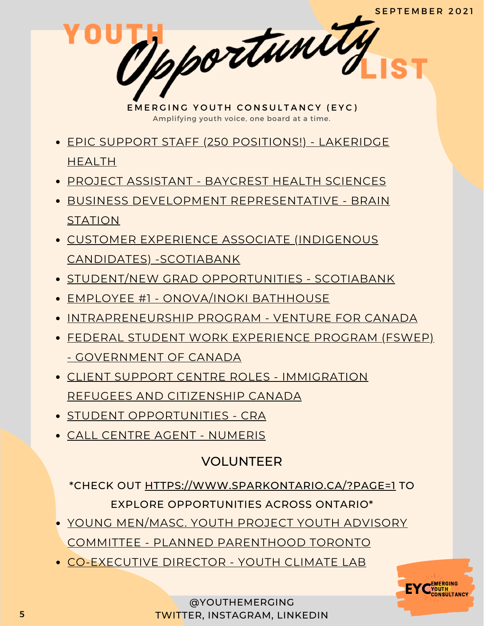- EPIC SUPPORT STAFF (250 [POSITIONS!\)](https://careers.lakeridgehealth.on.ca/eRecruit/VacancyDetail.aspx?VacancyUID=000000033155) LAKERIDGE HEALTH
- PROJECT [ASSISTANT](https://baycrest-hospital-openhire.silkroad.com/epostings/index.cfm?fuseaction=app.dspjob&jobid=2790&company_id=30045&version=1&jobBoardId=10009) BAYCREST HEALTH SCIENCES
- BUSINESS DEVELOPMENT [REPRESENTATIVE](https://boards.greenhouse.io/brainstation/jobs/4446054003?gh_src=c1c990643us) BRAIN **STATION**
- CUSTOMER EXPERIENCE ASSOCIATE (INDIGENOUS CANDIDATES) [-SCOTIABANK](https://jobs.scotiabank.com/Scotiabank%20(default)/job/Brampton-First-Nations%2C-Inuit-and-Metis-Candidates-Customer-Representative-%28Toronto-Region%29-ON/543784917/)
- **.** STUDENT/NEW GRAD [OPPORTUNITIES](https://jobs.scotiabank.com/go/Student-&-New-Grad-Jobs/2298417/?utm_campaign=JB_Sept20_Campus_CareerSite_CTA_EN) SCOTIABANK
- EMPLOYEE #1 [ONOVA/INOKI](https://www.onova.io/onova-inoki-bathhouse) BATHHOUSE
- [INTRAPRENEURSHIP](https://ventureforcanada.ca/programs/intrapreneurship) PROGRAM VENTURE FOR CANADA
- FEDERAL STUDENT WORK EXPERIENCE PROGRAM (FSWEP) - [GOVERNMENT](https://www.canada.ca/en/public-service-commission/jobs/services/recruitment/students/federal-student-work-program.html) OF CANADA
- CLIENT SUPPORT CENTRE ROLES [IMMIGRATION](https://emploisfp-psjobs.cfp-psc.gc.ca/psrs-srfp/applicant/page1800?toggleLanguage=en&poster=1504432) REFUGEES AND CITIZENSHIP CANADA
- **STUDENT [OPPORTUNITIES](https://careers-carrieres.cra-arc.gc.ca/gol-ged/wcis/pub/rtrvjbpst.action?pi=D06726B228B01EDBB2C1A18D2C3EA0F2) CRA**
- CALL CENTRE AGENT [NUMERIS](https://numeris.csod.com/ux/ats/careersite/6/home/requisition/406?c=numeris)

# VOLUNTEER

\*CHECK OUT [HTTPS://WWW.SPARKONTARIO.CA/?PAGE=1](https://www.sparkontario.ca/?page=1) TO EXPLORE OPPORTUNITIES ACROSS ONTARIO\*

- YOUNG MEN/MASC. YOUTH PROJECT YOUTH ADVISORY COMMITTEE - PLANNED [PARENTHOOD](https://docs.google.com/forms/d/e/1FAIpQLSf3UUFYcB0EtWmZEQJ5gGa7YhZXtvqQwzmYB807EoYslKvNeA/viewform) TORONTO
- [CO-EXECUTIVE](https://docs.google.com/document/d/1OTDsSwwugu_b-RE52vJZYzohgagQF0nImJ5nwwZddUA/mobilebasic) DIRECTOR YOUTH CLIMATE LAB

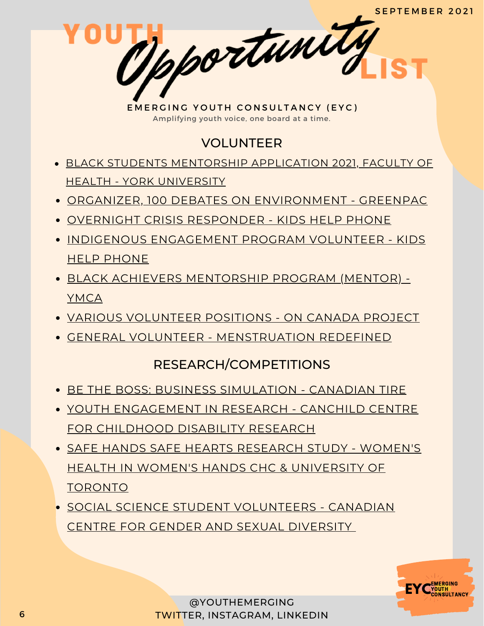# VOLUNTEER

- BLACK STUDENTS MENTORSHIP [APPLICATION](https://docs.google.com/forms/d/e/1FAIpQLSfrN0tXYF7EbXzjUFrwPh6WPBPmoV8WhVfFhxFAGPYrx-NxRQ/viewform) 2021, FACULTY OF HEALTH - YORK UNIVERSITY
- ORGANIZER, 100 DEBATES ON [ENVIRONMENT](https://form.123formbuilder.com/5958255/formor) GREENPAC
- OVERNIGHT CRISIS [RESPONDER](https://kidshelpphone.ca/get-involved/participate/call-volunteers-crisis-text-line) KIDS HELP PHONE
- INDIGENOUS [ENGAGEMENT](https://kidshelpphone.ca/get-involved/first-nations-inuit-and-metis/volunteer-for-our-indigenous-engagement-program/) PROGRAM VOLUNTEER KIDS HELP PHONE
- BLACK ACHIEVERS [MENTORSHIP](https://ymcagta.org/youth-programs/Black-Achievers-Mentorship-Program) PROGRAM (MENTOR) YMCA
- VARIOUS [VOLUNTEER](https://docs.google.com/forms/d/e/1FAIpQLSciMF1ROT1f_mGS2Wx822QU0zDYcf3zka0UC9rIAM9z03W8Pw/viewform) POSITIONS ON CANADA PROJECT
- GENERAL VOLUNTEER [MENSTRUATION](https://docs.google.com/forms/d/e/1FAIpQLSe-ORQRxArU5ZwQWT3JfGEjRtyUwanp5p64UPHwK1nL5Pz__w/viewform) REDEFINED

#### RESEARCH/COMPETITIONS

- BE THE BOSS: BUSINESS [SIMULATION](https://web.cvent.com/event/0c596248-56d3-422d-a7be-4a6be1b3b1ed/summary) CANADIAN TIRE
- YOUTH [ENGAGEMENT](https://www.canchild.ca/en/research-in-practice/current-studies/youth-engagement-in-research) IN RESEARCH CANCHILD CENTRE FOR CHILDHOOD DISABILITY RESEARCH
- SAFE HANDS SAFE HEARTS RESEARCH STUDY WOMEN'S HEALTH IN WOMEN'S HANDS CHC & [UNIVERSITY](https://www.safehandssafehearts.com/ca/) OF TORONTO
- SOCIAL SCIENCE STUDENT [VOLUNTEERS](https://www.linkedin.com/posts/canadian-centre-for-gender-sexual-diversity_ccgsd-is-looking-for-volunteers-were-looking-activity-6834172268541726720-Doxi/) CANADIAN CENTRE FOR GENDER AND SEXUAL DIVERSITY

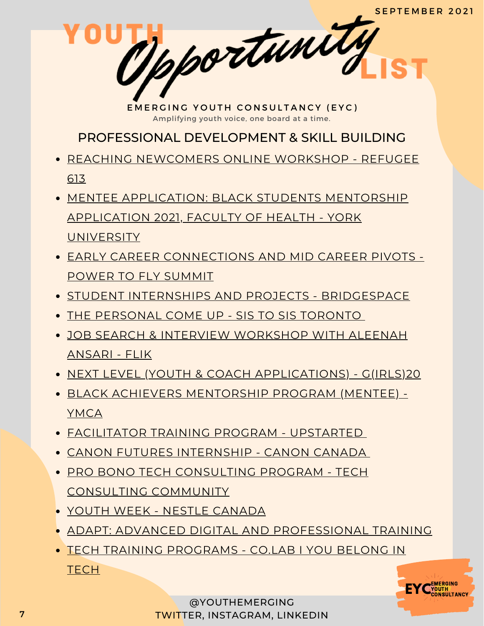PROFESSIONAL DEVELOPMENT & SKILL BUILDING

- REACHING [NEWCOMERS](https://www.eventbrite.ca/e/reaching-newcomers-online-workshop-1-tickets-167500453365) ONLINE WORKSHOP REFUGEE 613
- MENTEE [APPLICATION:](https://docs.google.com/forms/d/e/1FAIpQLSe2h38aL3aLeoOm25kAyq1S9x0I1jMtuMNoUfru7Mf4gb1XuQ/viewform) BLACK STUDENTS MENTORSHIP APPLICATION 2021, FACULTY OF HEALTH - YORK **UNIVERSITY**
- EARLY CAREER [CONNECTIONS](https://summit.powertofly.com/) AND MID CAREER PIVOTS POWER TO FLY SUMMIT
- STUDENT INTERNSHIPS AND PROJECTS [BRIDGESPACE](https://bridgespace.io/)
- THE [PERSONAL](https://docs.google.com/forms/d/e/1FAIpQLSckp26KhOm7DfXsaNb0_JDS_plLspDnUygOP1cPJbexch6XDA/viewform) COME UP SIS TO SIS TORONTO
- JOB SEARCH & INTERVIEW [WORKSHOP](https://www.runtheworld.today/app/c/jobsearch-interviewskills) WITH ALEENAH ANSARI - FLIK
- NEXT LEVEL (YOUTH & COACH [APPLICATIONS\)](https://girls20.submittable.com/submit) G(IRLS)20
- BLACK ACHIEVERS [MENTORSHIP](https://ymcagta.org/youth-programs/Black-Achievers-Mentorship-Program) PROGRAM (MENTEE) YMCA
- [FACILITATOR](https://docs.google.com/forms/d/e/1FAIpQLSe1fDhYODRagameDOKsf4_FfWns-yNAQEeNTHWK5Pn7XxHuog/viewform) TRAINING PROGRAM UPSTARTED
- CANON FUTURES [INTERNSHIP](https://www.canonfutures.ca/) CANON CANADA
- PRO BONO TECH [CONSULTING](https://techconsultingcommunity.com/pro-bono-tech-consulting/) PROGRAM TECH CONSULTING COMMUNITY
- YOUTH WEEK NESTLE [CANADA](https://nestlecanadayouthweek.vfairs.com/en/registration)
- ADAPT: ADVANCED DIGITAL AND [PROFESSIONAL](https://www.ryerson.ca/adapt/) TRAINING
- TECH TRAINING [PROGRAMS](https://www.joincolab.io/#Program-Tracks) CO.LAB I YOU BELONG IN **TECH**

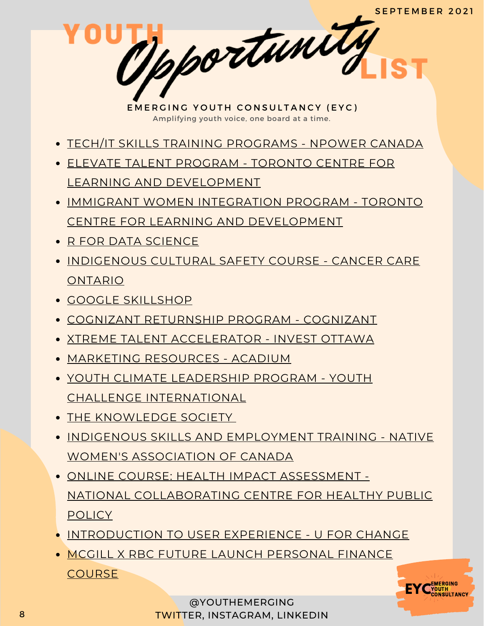- TECH/IT SKILLS TRAINING [PROGRAMS](https://npowercanada.ca/) NPOWER CANADA
- ELEVATE TALENT PROGRAM TORONTO CENTRE FOR LEARNING AND [DEVELOPMENT](https://www.tccld.org/programs/elevatetalent/)
- IMMIGRANT WOMEN INTEGRATION PROGRAM TORONTO CENTRE FOR LEARNING AND [DEVELOPMENT](https://survey.zohopublic.com/zs/I5CCbQ)
- R FOR DATA [SCIENCE](https://r4ds.had.co.nz/)
- **[INDIGENOUS](https://elearning.cancercare.on.ca/course/view.php?id=101) CULTURAL SAFETY COURSE CANCER CARE** ONTARIO
- GOOGLE [SKILLSHOP](https://skillshop.withgoogle.com/)
- COGNIZANT [RETURNSHIP](https://careers.cognizant.com/global/en/cognizant-returnship-program) PROGRAM COGNIZANT
- XTREME TALENT [ACCELERATOR](https://www.investottawa.ca/xtreme-talent-accelerator/?utm_source=LinkedIn&utm_medium=Paid%20Ads&utm_campaign=XTAP%20Paid%20Ads&li_fat_id=f24b5ec5-db43-4428-88f9-92b5a2d0c0dc) INVEST OTTAWA
- MARKETING [RESOURCES](https://acadium.com/) ACADIUM
- YOUTH CLIMATE LEADERSHIP PROGRAM YOUTH CHALLENGE [INTERNATIONAL](https://www.yci.org/innovatemyfuture/youth-climate-leadership/)
- THE [KNOWLEDGE](https://tks.world/program/) SOCIETY
- **INDIGENOUS SKILLS AND [EMPLOYMENT](https://www.nwac.ca/iset/) TRAINING NATIVE** WOMEN'S ASSOCIATION OF CANADA
- ONLINE COURSE: HEALTH IMPACT ASSESSMENT NATIONAL [COLLABORATING](https://www.ncchpp.ca/274/online-course.ccnpps) CENTRE FOR HEALTHY PUBLIC POLICY
- **[INTRODUCTION](https://docs.google.com/forms/d/e/1FAIpQLSctSd9ZAcZBpswQj0URzEHVXlpF--qyT2AR6_1tKyoFS1iIYQ/viewform) TO USER EXPERIENCE U FOR CHANGE**
- MCGILL X RBC FUTURE LAUNCH [PERSONAL](https://learn.mcgillpersonalfinance.com/account/login/) FINANCE **COURSE**

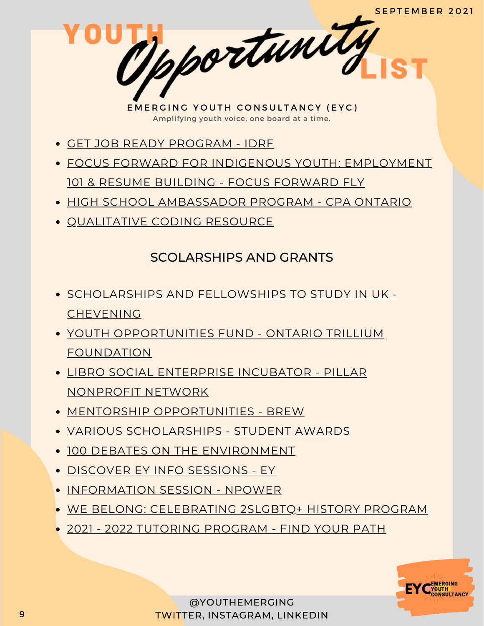- GET JOB READY [PROGRAM](https://idrf.ca/project/getjobready/) IDRF
- FOCUS FORWARD FOR INDIGENOUS YOUTH: [EMPLOYMENT](https://docs.google.com/forms/d/e/1FAIpQLSfRCREo2hIabn1L271SDl0wPRkApB5N12_6bON-DnyYu8lGEg/viewform) 101 & RESUME BUILDING - FOCUS FORWARD FLY
- HIGH SCHOOL [AMBASSADOR](https://www.cpaontario.ca/become-a-cpa/why-cpa/high-school-ambassador-program) PROGRAM CPA ONTARIO
- [QUALITATIVE](https://www.linkedin.com/posts/drphilipadu_qualitative-data-coding-workshop-activity-6819644783024230400-d0mU/) CODING RESOURCE

## SCOLARSHIPS AND GRANTS

- **[SCHOLARSHIPS](https://www.chevening.org/) AND FELLOWSHIPS TO STUDY IN UK -CHEVENING**
- YOUTH [OPPORTUNITIES](https://www.otf.ca/our-grants/youth-opportunities-fund) FUND ONTARIO TRILLIUM FOUNDATION
- LIBRO SOCIAL [ENTERPRISE](https://pillarnonprofit.ca/event/libro-social-enterprise-incubator-applications-now-open-fall-2020/pillar-nonprofit-network) INCUBATOR PILLAR NONPROFIT NETWORK
- MENTORSHIP [OPPORTUNITIE](https://www.instagram.com/brew_ca/)S [BREW](https://www.instagram.com/brew_ca/)
- VARIOUS [SCHOLARSHIPS](https://studentawards.com/scholarships/era-electronic-recycling-association-scholarship/) STUDENT AWARDS
- 100 DEBATES ON THE [ENVIRONMENT](https://www.100debates.ca/debates)
- [DISCOVER](https://www.eventbrite.ca/o/ey-canada-campus-team-32679374463) EY INFO SESSIONS EY
- [INFORMATION](https://us02web.zoom.us/meeting/register/tZcvf-uqpzojGN33UeH8x6hirghUB9lHcnNl) SESSION NPOWER
- WE BELONG: [CELEBRATING](https://www.linkedin.com/posts/canadian-centre-for-gender-sexual-diversity_we-are-excited-to-announce-our-newest-2slgbtq-activity-6835979060666019840-Yo8_/) 2SLGBTQ+ HISTORY PROGRAM
- 2021 2022 TUTORING [PROGRAM](http://www.fypcanada.com/register/) FIND YOUR PATH